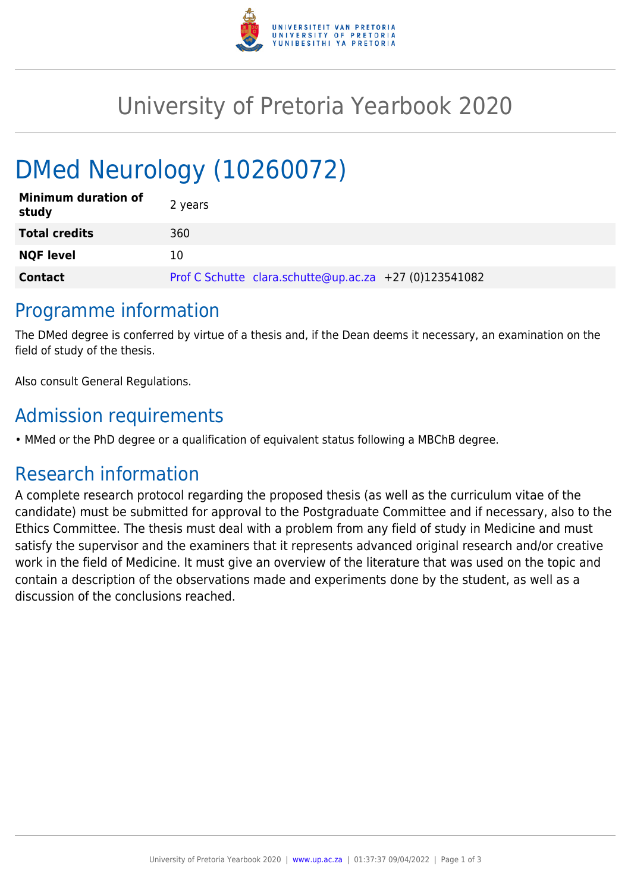

## University of Pretoria Yearbook 2020

# DMed Neurology (10260072)

| <b>Minimum duration of</b><br>study | 2 years                                                |
|-------------------------------------|--------------------------------------------------------|
| <b>Total credits</b>                | 360                                                    |
| <b>NQF level</b>                    | 10                                                     |
| <b>Contact</b>                      | Prof C Schutte clara.schutte@up.ac.za +27 (0)123541082 |

### Programme information

The DMed degree is conferred by virtue of a thesis and, if the Dean deems it necessary, an examination on the field of study of the thesis.

Also consult General Regulations.

## Admission requirements

• MMed or the PhD degree or a qualification of equivalent status following a MBChB degree.

## Research information

A complete research protocol regarding the proposed thesis (as well as the curriculum vitae of the candidate) must be submitted for approval to the Postgraduate Committee and if necessary, also to the Ethics Committee. The thesis must deal with a problem from any field of study in Medicine and must satisfy the supervisor and the examiners that it represents advanced original research and/or creative work in the field of Medicine. It must give an overview of the literature that was used on the topic and contain a description of the observations made and experiments done by the student, as well as a discussion of the conclusions reached.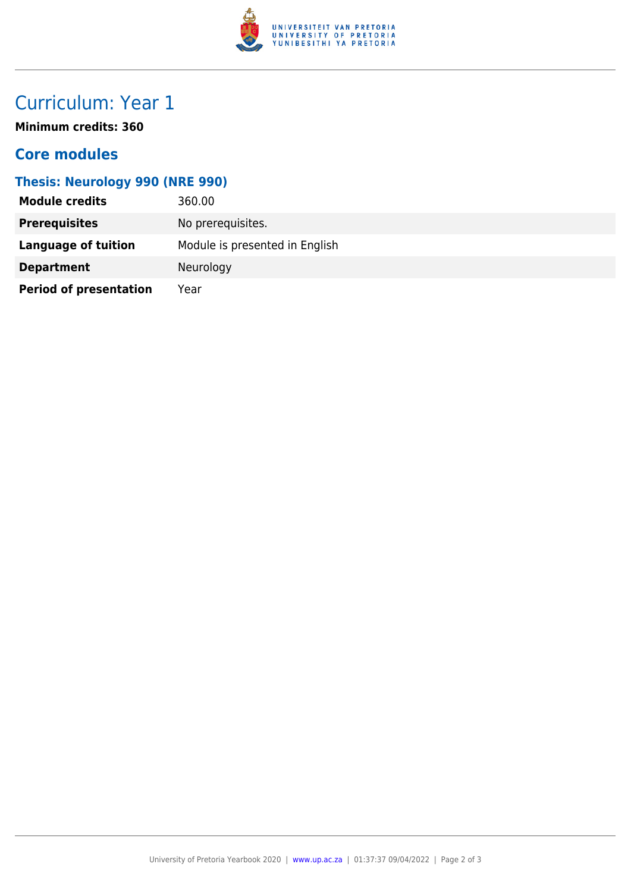

## Curriculum: Year 1

**Minimum credits: 360**

#### **Core modules**

#### **Thesis: Neurology 990 (NRE 990)**

| <b>Module credits</b>         | 360.00                         |
|-------------------------------|--------------------------------|
| <b>Prerequisites</b>          | No prerequisites.              |
| Language of tuition           | Module is presented in English |
| <b>Department</b>             | Neurology                      |
| <b>Period of presentation</b> | Year                           |